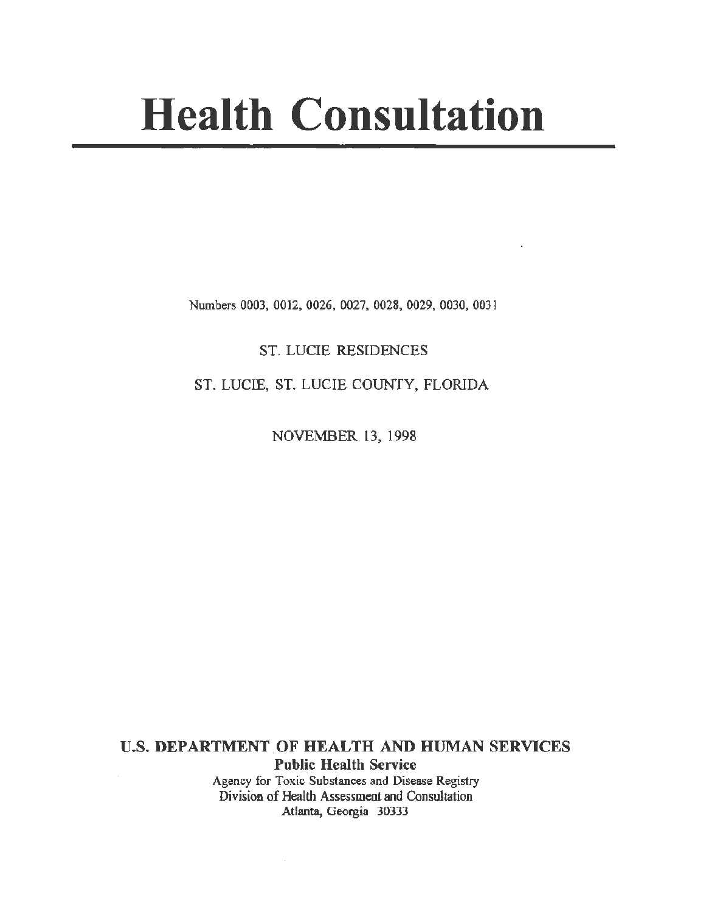# **Health Consultation**

Numbers 0003, 0012, 0026, 0027, 0028, 0029, 0030, 0031

ST. LUCIE RESIDENCES

ST. LUCIE, ST. LUCIE COUNTY, FLORIDA

NOVEMBER 13, 1998

U.S. DEPARTMENT OF HEALTH AND HUMAN SERVICES Public Health Service Agency for Toxic Substances and Disease Registry Division of Health Assessment and Consultation Atlanta, Georgia 30333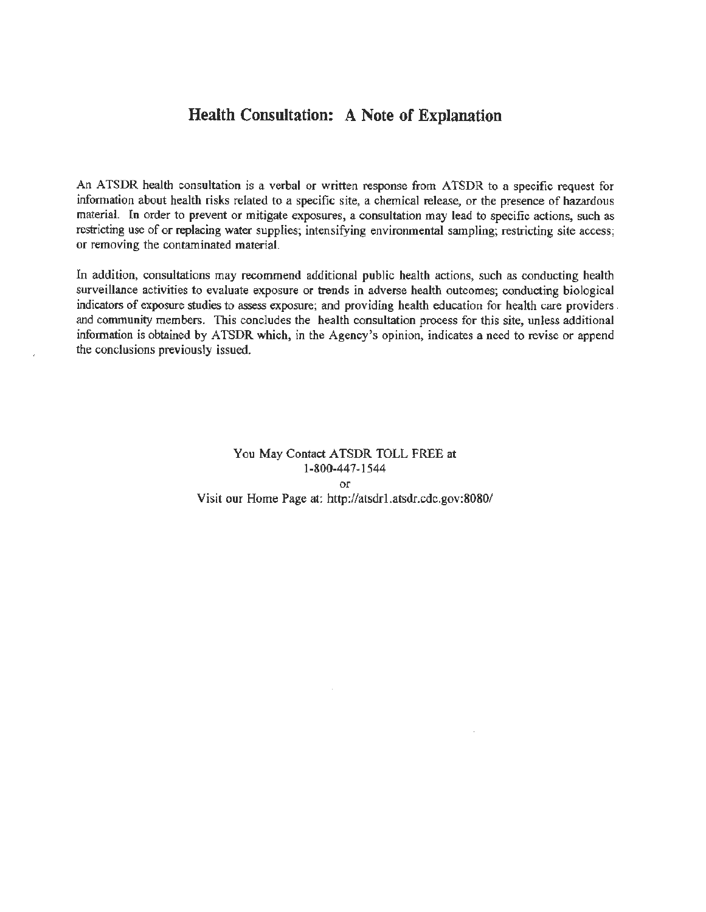### **Health Consultation: A Note of Explanation**

An ATSDR health consultation is a verbal or written response from ATSDR to a specific request for information about health risks related to a specific site, a chemical release, or the presence of hazardous material. In order to prevent or mitigate exposures, a consultation may lead to specific actions, such as restricting use of or replacing water supplies; intensifying environmental sampling; restricting site access; or removing the contaminated material.

In addition, consultations may recommend additional public health actions, such as conducting health surveillance activities to evaluate exposure or trends in adverse health outcomes; conducting biological indicators of exposure studies to assess exposure; and providing health education for health care providers . and community members. This concludes the health consultation process for this site, unless additional information is obtained by ATSDR which, in the Agency's opinion, indicates a need to revise or append the conclusions previously issued.

> You May Contact ATSDR TOLL FREE at 1-800-447-1544 or Visit our Home Page at: http://atsdrl.atsdr.cdc.gov:8080/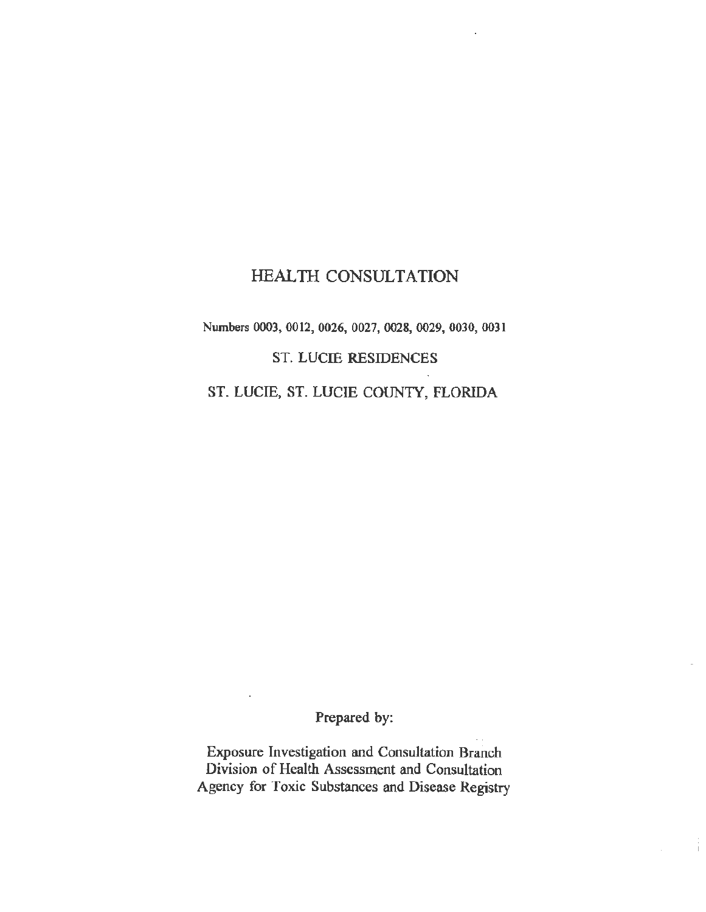## HEALTH CONSULTATION

Numbers 0003, 0012, 0026, 0027, 0028, 0029, 0030, 0031

ST. LUCIE RESIDENCES

ST. LUCIE, ST. LUCIE COUNTY, FLORIDA

Prepared by:

Exposure Investigation and Consultation Branch Division of Health Assessment and Consultation Agency for Toxic Substances and Disease Registry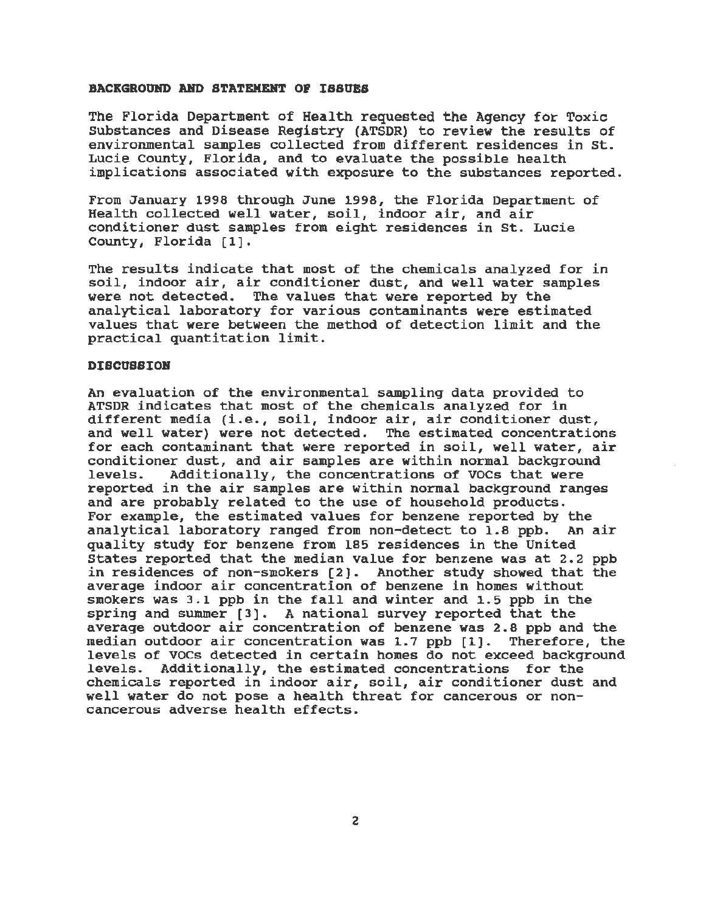#### BACKGROUND AND STATEMENT OF ISSUES

The Florida Department of Health requested the Agency for Toxic substances and Disease Registry (ATSDR) to review the results of environmental samples collected from different residences in st. Lucie County, Florida, and to evaluate the possible health implications associated with exposure to the substances reported.

From January 1998 through June 1998, the Florida Department of Health collected well water, soil, indoor air, and air conditioner dust samples from eight residences in St. Lucie County, Florida [1].

The results indicate that most of the chemicals analyzed for in soil, indoor air, air conditioner dust, and well water samples were not detected. The values that were reported by the analytical laboratory for various contaminants were estimated values that were between the method of detection limit and the practical quantitation limit.

#### **DISCUSSION**

An evaluation of the environmental sampling data provided to ATSDR indicates that most of the chemicals analyzed for in different media (i.e., soil, indoor air, air conditioner dust, and well water) were not detected. The estimated concentrations for each contaminant that were reported in soil, well water, air conditioner dust, and air samples are within normal background<br>levels. Additionally, the concentrations of VOCs that were Additionally, the concentrations of VOCs that were reported in the air samples are within normal background ranges and are probably related to the use of household products. For example, the estimated values for benzene reported by the analytical laboratory ranged from non-detect to 1.8 ppb. An air quality study for benzene from 185 residences in the United States reported that the median value for benzene was at 2.2 ppb in residences of non-smokers (2]. Another study showed that the average indoor air concentration of benzene in homes without smokers was 3.1 ppb in the fall and winter and 1.5 ppb in the spring and summer (3]. A national survey reported that the average outdoor air concentration of benzene was 2.8 ppb and the median outdoor air concentration was 1.7 ppb [1). Therefore, the l evels of VOCs detected in certain homes do not exceed background levels. Additionally, the estimated concentrations for the chemicals reported in indoor air, soil, air conditioner dust and well water do not pose a health threat for cancerous or noncancerous adverse health effects.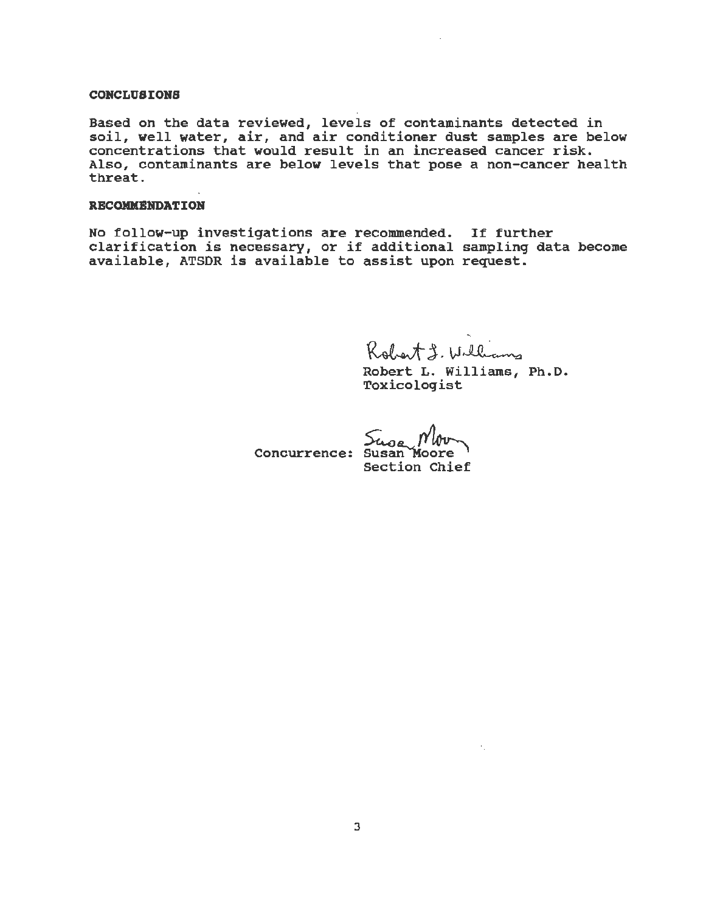#### **CONCLUSIONS**

Based on the data reviewed, levels of contaminants detected in soil, well water, air, and air conditioner dust samples are below concentrations that would result in an increased cancer risk. Also, contaminants are below levels that pose a non-cancer health threat.

#### **RECOMMENDATION**

No follow-up investigations are recommended. If further clarification is necessary, or if additional sampling data become available, ATSDR is available to assist upon request.

" ...  $\bigcup_{i=1}^n \bigcup_{i=1}^n$ 

Robert L. Williams , Ph. D. Toxicol ogist

" .

Concurrence: Susan

Section Chief